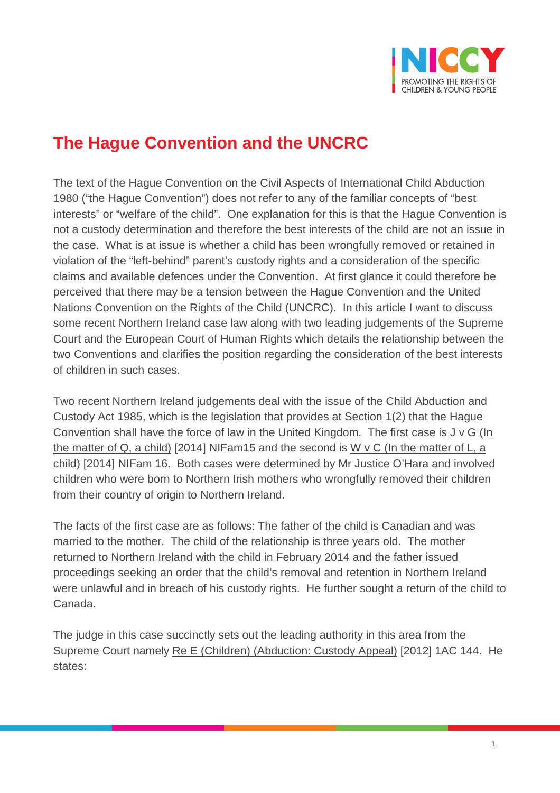

## **The Hague Convention and the UNCRC**

The text of the Hague Convention on the Civil Aspects of International Child Abduction 1980 ("the Hague Convention") does not refer to any of the familiar concepts of "best interests" or "welfare of the child". One explanation for this is that the Hague Convention is not a custody determination and therefore the best interests of the child are not an issue in the case. What is at issue is whether a child has been wrongfully removed or retained in violation of the "left-behind" parent's custody rights and a consideration of the specific claims and available defences under the Convention. At first glance it could therefore be perceived that there may be a tension between the Hague Convention and the United Nations Convention on the Rights of the Child (UNCRC). In this article I want to discuss some recent Northern Ireland case law along with two leading judgements of the Supreme Court and the European Court of Human Rights which details the relationship between the two Conventions and clarifies the position regarding the consideration of the best interests of children in such cases.

Two recent Northern Ireland judgements deal with the issue of the Child Abduction and Custody Act 1985, which is the legislation that provides at Section 1(2) that the Hague Convention shall have the force of law in the United Kingdom. The first case is J v G (In the matter of Q, a child) [2014] NIFam15 and the second is W v C (In the matter of L, a child) [2014] NIFam 16. Both cases were determined by Mr Justice O'Hara and involved children who were born to Northern Irish mothers who wrongfully removed their children from their country of origin to Northern Ireland.

The facts of the first case are as follows: The father of the child is Canadian and was married to the mother. The child of the relationship is three years old. The mother returned to Northern Ireland with the child in February 2014 and the father issued proceedings seeking an order that the child's removal and retention in Northern Ireland were unlawful and in breach of his custody rights. He further sought a return of the child to Canada.

The judge in this case succinctly sets out the leading authority in this area from the Supreme Court namely Re E (Children) (Abduction: Custody Appeal) [2012] 1AC 144. He states: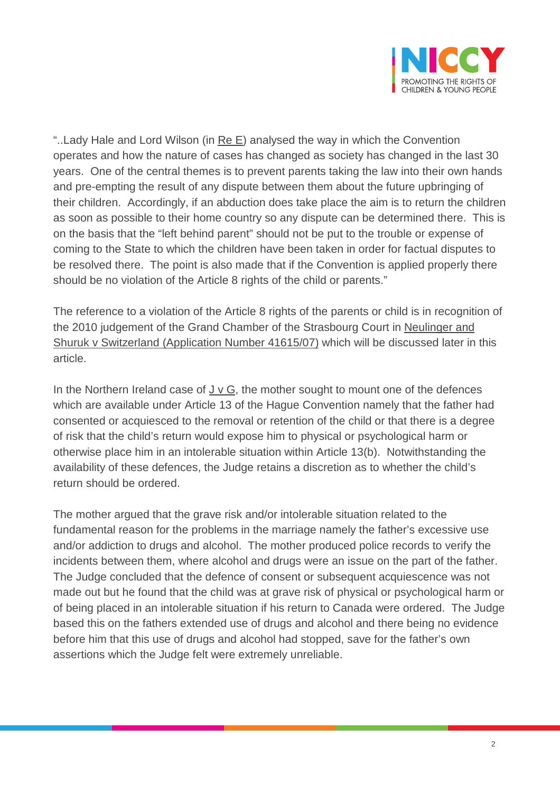

"..Lady Hale and Lord Wilson (in Re E) analysed the way in which the Convention operates and how the nature of cases has changed as society has changed in the last 30 years. One of the central themes is to prevent parents taking the law into their own hands and pre-empting the result of any dispute between them about the future upbringing of their children. Accordingly, if an abduction does take place the aim is to return the children as soon as possible to their home country so any dispute can be determined there. This is on the basis that the "left behind parent" should not be put to the trouble or expense of coming to the State to which the children have been taken in order for factual disputes to be resolved there. The point is also made that if the Convention is applied properly there should be no violation of the Article 8 rights of the child or parents."

The reference to a violation of the Article 8 rights of the parents or child is in recognition of the 2010 judgement of the Grand Chamber of the Strasbourg Court in Neulinger and Shuruk v Switzerland (Application Number 41615/07) which will be discussed later in this article.

In the Northern Ireland case of J v G, the mother sought to mount one of the defences which are available under Article 13 of the Hague Convention namely that the father had consented or acquiesced to the removal or retention of the child or that there is a degree of risk that the child's return would expose him to physical or psychological harm or otherwise place him in an intolerable situation within Article 13(b). Notwithstanding the availability of these defences, the Judge retains a discretion as to whether the child's return should be ordered.

The mother argued that the grave risk and/or intolerable situation related to the fundamental reason for the problems in the marriage namely the father's excessive use and/or addiction to drugs and alcohol. The mother produced police records to verify the incidents between them, where alcohol and drugs were an issue on the part of the father. The Judge concluded that the defence of consent or subsequent acquiescence was not made out but he found that the child was at grave risk of physical or psychological harm or of being placed in an intolerable situation if his return to Canada were ordered. The Judge based this on the fathers extended use of drugs and alcohol and there being no evidence before him that this use of drugs and alcohol had stopped, save for the father's own assertions which the Judge felt were extremely unreliable.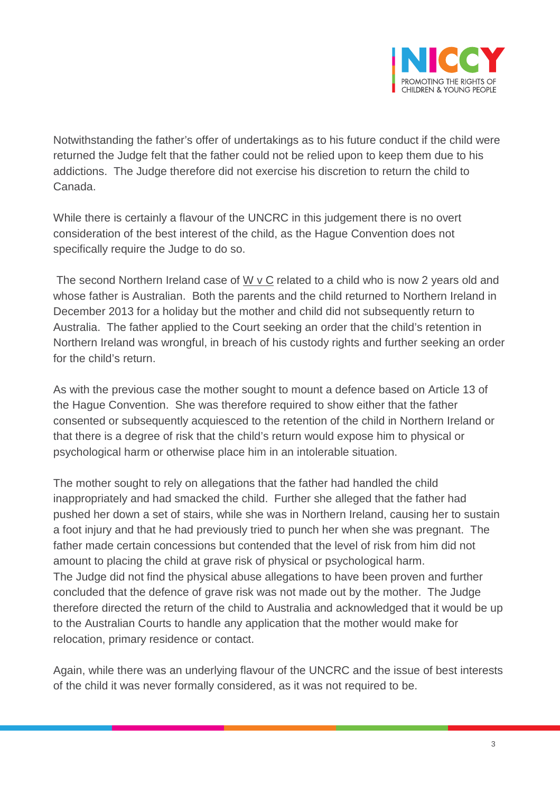

Notwithstanding the father's offer of undertakings as to his future conduct if the child were returned the Judge felt that the father could not be relied upon to keep them due to his addictions. The Judge therefore did not exercise his discretion to return the child to Canada.

While there is certainly a flavour of the UNCRC in this judgement there is no overt consideration of the best interest of the child, as the Hague Convention does not specifically require the Judge to do so.

The second Northern Ireland case of  $W \vee C$  related to a child who is now 2 years old and whose father is Australian. Both the parents and the child returned to Northern Ireland in December 2013 for a holiday but the mother and child did not subsequently return to Australia. The father applied to the Court seeking an order that the child's retention in Northern Ireland was wrongful, in breach of his custody rights and further seeking an order for the child's return.

As with the previous case the mother sought to mount a defence based on Article 13 of the Hague Convention. She was therefore required to show either that the father consented or subsequently acquiesced to the retention of the child in Northern Ireland or that there is a degree of risk that the child's return would expose him to physical or psychological harm or otherwise place him in an intolerable situation.

The mother sought to rely on allegations that the father had handled the child inappropriately and had smacked the child. Further she alleged that the father had pushed her down a set of stairs, while she was in Northern Ireland, causing her to sustain a foot injury and that he had previously tried to punch her when she was pregnant. The father made certain concessions but contended that the level of risk from him did not amount to placing the child at grave risk of physical or psychological harm. The Judge did not find the physical abuse allegations to have been proven and further concluded that the defence of grave risk was not made out by the mother. The Judge therefore directed the return of the child to Australia and acknowledged that it would be up to the Australian Courts to handle any application that the mother would make for relocation, primary residence or contact.

Again, while there was an underlying flavour of the UNCRC and the issue of best interests of the child it was never formally considered, as it was not required to be.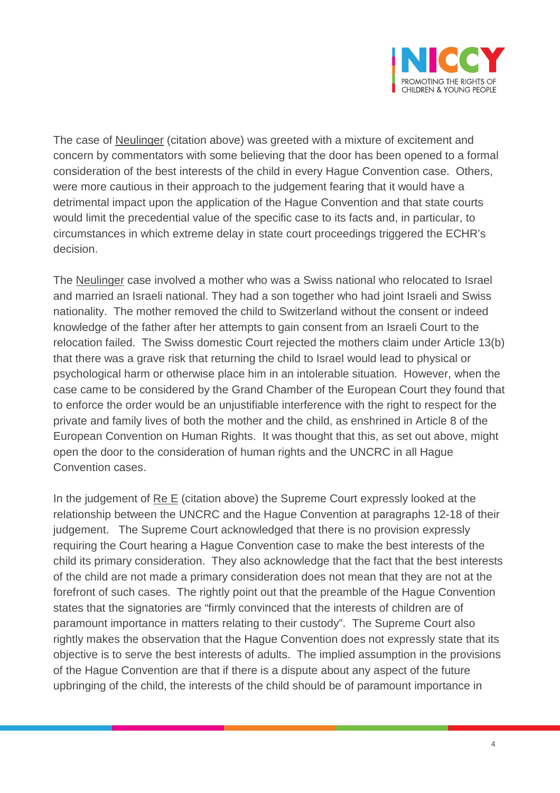

The case of Neulinger (citation above) was greeted with a mixture of excitement and concern by commentators with some believing that the door has been opened to a formal consideration of the best interests of the child in every Hague Convention case. Others, were more cautious in their approach to the judgement fearing that it would have a detrimental impact upon the application of the Hague Convention and that state courts would limit the precedential value of the specific case to its facts and, in particular, to circumstances in which extreme delay in state court proceedings triggered the ECHR's decision.

The Neulinger case involved a mother who was a Swiss national who relocated to Israel and married an Israeli national. They had a son together who had joint Israeli and Swiss nationality. The mother removed the child to Switzerland without the consent or indeed knowledge of the father after her attempts to gain consent from an Israeli Court to the relocation failed. The Swiss domestic Court rejected the mothers claim under Article 13(b) that there was a grave risk that returning the child to Israel would lead to physical or psychological harm or otherwise place him in an intolerable situation. However, when the case came to be considered by the Grand Chamber of the European Court they found that to enforce the order would be an unjustifiable interference with the right to respect for the private and family lives of both the mother and the child, as enshrined in Article 8 of the European Convention on Human Rights. It was thought that this, as set out above, might open the door to the consideration of human rights and the UNCRC in all Hague Convention cases.

In the judgement of Re E (citation above) the Supreme Court expressly looked at the relationship between the UNCRC and the Hague Convention at paragraphs 12-18 of their judgement. The Supreme Court acknowledged that there is no provision expressly requiring the Court hearing a Hague Convention case to make the best interests of the child its primary consideration. They also acknowledge that the fact that the best interests of the child are not made a primary consideration does not mean that they are not at the forefront of such cases. The rightly point out that the preamble of the Hague Convention states that the signatories are "firmly convinced that the interests of children are of paramount importance in matters relating to their custody". The Supreme Court also rightly makes the observation that the Hague Convention does not expressly state that its objective is to serve the best interests of adults. The implied assumption in the provisions of the Hague Convention are that if there is a dispute about any aspect of the future upbringing of the child, the interests of the child should be of paramount importance in